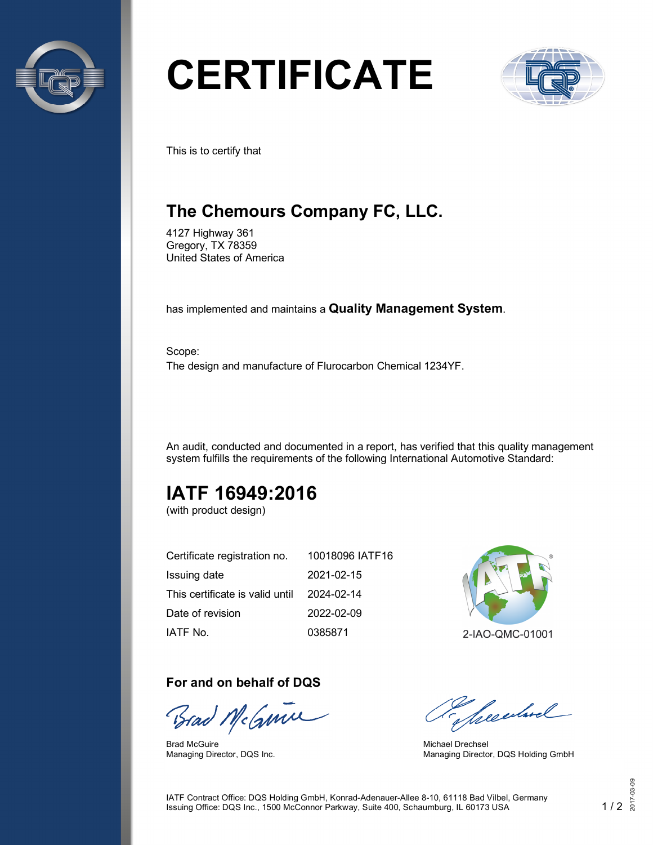

# **CERTIFICATE**



This is to certify that

## **The Chemours Company FC, LLC.**

4127 Highway 361 Gregory, TX 78359 United States of America

has implemented and maintains a **Quality Management System**.

Scope: The design and manufacture of Flurocarbon Chemical 1234YF.

An audit, conducted and documented in a report, has verified that this quality management system fulfills the requirements of the following International Automotive Standard:

## **IATF 16949:2016**

(with product design)

| Certificate registration no.    | 10018096 IATF16 |
|---------------------------------|-----------------|
| Issuing date                    | 2021-02-15      |
| This certificate is valid until | 2024-02-14      |
| Date of revision                | 2022-02-09      |
| IATF No.                        | 0385871         |

#### **For and on behalf of DQS**

Brad McGume

Brad McGuire Managing Director, DQS Inc.



2-IAO-QMC-01001

presentand

Michael Drechsel Managing Director, DQS Holding GmbH

IATF Contract Office: DQS Holding GmbH, Konrad-Adenauer-Allee 8-10, 61118 Bad Vilbel, Germany Issuing Office: DQS Inc., 1500 McConnor Parkway, Suite 400, Schaumburg, IL 60173 USA